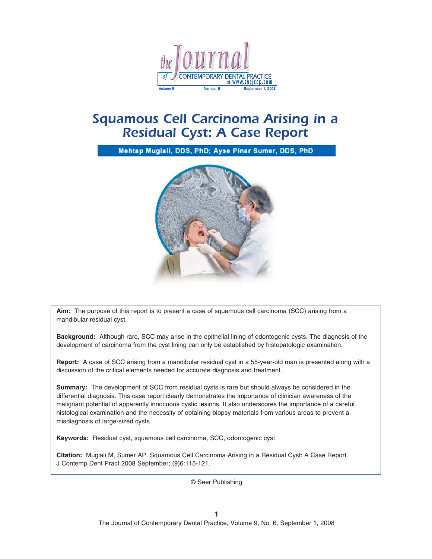

# *Squamous Cell Carcinoma Arising in a Residual Cyst: A Case Report*

Mehtap Muglali, DDS, PhD; Ayse Pinar Sumer, DDS, PhD



**Aim:** The purpose of this report is to present a case of squamous cell carcinoma (SCC) arising from a mandibular residual cyst.

**Background:** Although rare, SCC may arise in the epithelial lining of odontogenic cysts. The diagnosis of the development of carcinoma from the cyst lining can only be established by histopatologic examination.

**Report:** A case of SCC arising from a mandibular residual cyst in a 55-year-old man is presented along with a discussion of the critical elements needed for accurate diagnosis and treatment.

**Summary:** The development of SCC from residual cysts is rare but should always be considered in the differential diagnosis. This case report clearly demonstrates the importance of clinician awareness of the malignant potential of apparently innocuous cystic lesions. It also underscores the importance of a careful histological examination and the necessity of obtaining biopsy materials from various areas to prevent a misdiagnosis of large-sized cysts.

**Keywords:** Residual cyst, squamous cell carcinoma, SCC, odontogenic cyst

**Citation:** Muglali M, Sumer AP. Squamous Cell Carcinoma Arising in a Residual Cyst: A Case Report. J Contemp Dent Pract 2008 September; (9)6:115-121.

© Seer Publishing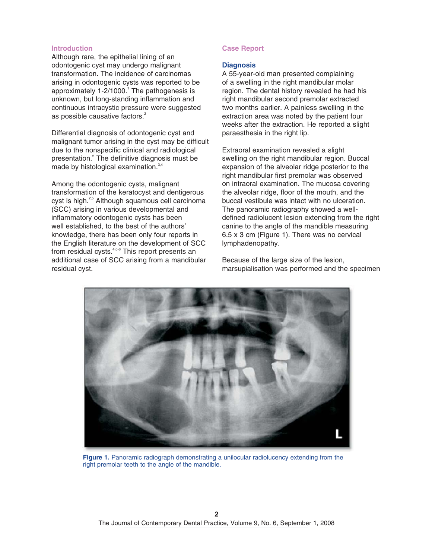#### **Introduction**

Although rare, the epithelial lining of an odontogenic cyst may undergo malignant transformation. The incidence of carcinomas arising in odontogenic cysts was reported to be approximately  $1-2/1000$ .<sup>1</sup> The pathogenesis is unknown, but long-standing inflammation and continuous intracystic pressure were suggested as possible causative factors.<sup>[2](#page-4-0)</sup>

Differential diagnosis of odontogenic cyst and malignant tumor arising in the cyst may be difficult due to the nonspecific clinical and radiological presentatio[n.](#page-4-0)<sup>2</sup> The definitive diagnosis must be made by histological examination.<sup>3,4</sup>

Among the odontogenic cysts, malignant transformation of the keratocyst and dentigerous cyst is high.<sup>2,5</sup> Although squamous cell carcinoma (SCC) arising in various developmental and inflammatory odontogenic cysts has been well established, to the best of the authors' knowledge, there has been only four reports in the English literature on the development of SCC from residual cysts.<sup>4,6-8</sup> This report presents an additional case of SCC arising from a mandibular residual cyst.

#### **Case Report**

#### **Diagnosis**

A 55-year-old man presented complaining of a swelling in the right mandibular molar region. The dental history revealed he had his right mandibular second premolar extracted two months earlier. A painless swelling in the extraction area was noted by the patient four weeks after the extraction. He reported a slight paraesthesia in the right lip.

Extraoral examination revealed a slight swelling on the right mandibular region. Buccal expansion of the alveolar ridge posterior to the right mandibular first premolar was observed on intraoral examination. The mucosa covering the alveolar ridge, floor of the mouth, and the buccal vestibule was intact with no ulceration. The panoramic radiography showed a welldefined radiolucent lesion extending from the right canine to the angle of the mandible measuring 6.5 x 3 cm (Figure 1). There was no cervical lymphadenopathy.

Because of the large size of the lesion, marsupialisation was performed and the specimen



Figure 1. Panoramic radiograph demonstrating a unilocular radiolucency extending from the right premolar teeth to the angle of the mandible.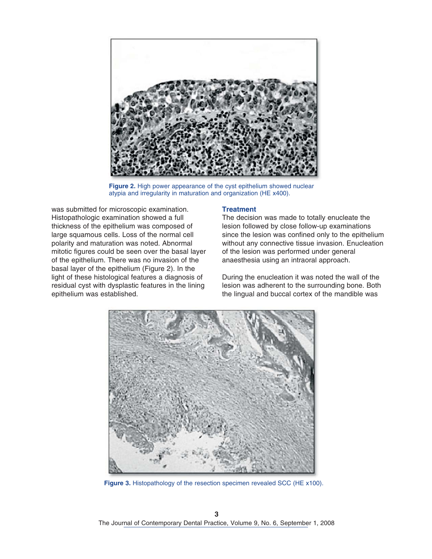

**Figure 2.** High power appearance of the cyst epithelium showed nuclear atypia and irregularity in maturation and organization (HE x400).

was submitted for microscopic examination. Histopathologic examination showed a full thickness of the epithelium was composed of large squamous cells. Loss of the normal cell polarity and maturation was noted. Abnormal mitotic figures could be seen over the basal layer of the epithelium. There was no invasion of the basal layer of the epithelium (Figure 2). In the light of these histological features a diagnosis of residual cyst with dysplastic features in the lining epithelium was established.

## **Treatment**

The decision was made to totally enucleate the lesion followed by close follow-up examinations since the lesion was confined only to the epithelium without any connective tissue invasion. Enucleation of the lesion was performed under general anaesthesia using an intraoral approach.

During the enucleation it was noted the wall of the lesion was adherent to the surrounding bone. Both the lingual and buccal cortex of the mandible was



**Figure 3.** Histopathology of the resection specimen revealed SCC (HE x100).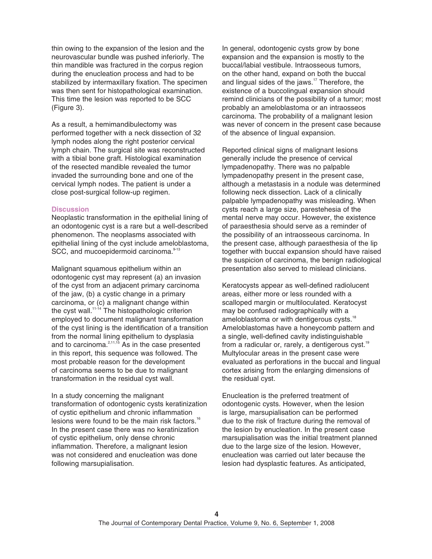thin owing to the expansion of the lesion and the neurovascular bundle was pushed inferiorly. The thin mandible was fractured in the corpus region during the enucleation process and had to be stabilized by intermaxillary fixation. The specimen was then sent for histopathological examination. This time the lesion was reported to be SCC (Figure 3).

As a result, a hemimandibulectomy was performed together with a neck dissection of 32 lymph nodes along the right posterior cervical lymph chain. The surgical site was reconstructed with a tibial bone graft. Histological examination of the resected mandible revealed the tumor invaded the surrounding bone and one of the cervical lymph nodes. The patient is under a close post-surgical follow-up regimen.

#### **Discussion**

Neoplastic transformation in the epithelial lining of an odontogenic cyst is a rare but a well-described phenomenon. The neoplasms associated with epithelial lining of the cyst include ameloblastoma, SCC, and mucoepidermoid carcinoma.<sup>9-13</sup>

Malignant squamous epithelium within an odontogenic cyst may represent (a) an invasion of the cyst from an adjacent primary carcinoma of the jaw, (b) a cystic change in a primary carcinoma, or (c) a malignant change within the cyst wall.<sup>11-14</sup> The histopathologic criterion employed to document malignant transformation of the cyst lining is the identification of a transition from the normal lining epithelium to dysplasia and to carcinoma. $^{2,11,15}$  As in the case presented in this report, this sequence was followed. The most probable reason for the development of carcinoma seems to be due to malignant transformation in the residual cyst wall.

In a study concerning the malignant transformation of odontogenic cysts keratinization of cystic epithelium and chronic inflammation lesions were found to be the main risk factors.<sup>[16](#page-4-0)</sup> In the present case there was no keratinization of cystic epithelium, only dense chronic inflammation. Therefore, a malignant lesion was not considered and enucleation was done following marsupialisation.

In general, odontogenic cysts grow by bone expansion and the expansion is mostly to the buccal/labial vestibule. Intraosseous tumors, on the other hand, expand on both the buccal and lingual sides of the jaws.<sup>17</sup> Therefore, the existence of a buccolingual expansion should remind clinicians of the possibility of a tumor; most probably an ameloblastoma or an intraosseos carcinoma. The probability of a malignant lesion was never of concern in the present case because of the absence of lingual expansion.

Reported clinical signs of malignant lesions generally include the presence of cervical lympadenopathy. There was no palpable lympadenopathy present in the present case, although a metastasis in a nodule was determined following neck dissection. Lack of a clinically palpable lympadenopathy was misleading. When cysts reach a large size, parestehesia of the mental nerve may occur. However, the existence of paraesthesia should serve as a reminder of the possibility of an intraosseous carcinoma. In the present case, although paraesthesia of the lip together with buccal expansion should have raised the suspicion of carcinoma, the benign radiological presentation also served to mislead clinicians.

Keratocysts appear as well-defined radiolucent areas, either more or less rounded with a scalloped margin or multiloculated. Keratocyst may be confused radiographically with a ameloblastoma or with dentigerous cysts.<sup>18</sup> Ameloblastomas have a honeycomb pattern and a single, well-defined cavity indistinguishable from a radicular or, rarely, a dentigerous cyst.<sup>19</sup> Multylocular areas in the present case were evaluated as perforations in the buccal and lingual cortex arising from the enlarging dimensions of the residual cyst.

Enucleation is the preferred treatment of odontogenic cysts. However, when the lesion is large, marsupialisation can be performed due to the risk of fracture during the removal of the lesion by enucleation. In the present case marsupialisation was the initial treatment planned due to the large size of the lesion. However, enucleation was carried out later because the lesion had dysplastic features. As anticipated,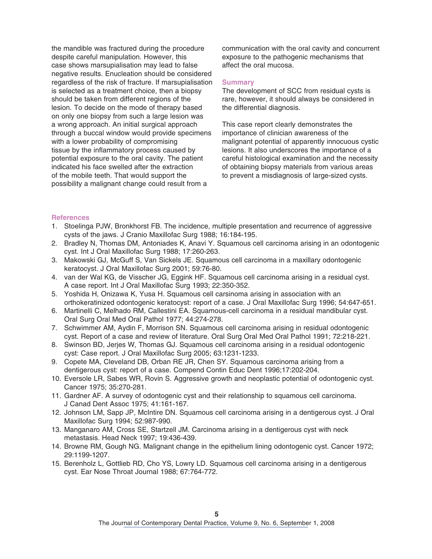<span id="page-4-0"></span>the mandible was fractured during the procedure despite careful manipulation. However, this case shows marsupialisation may lead to false negative results. Enucleation should be considered regardless of the risk of fracture. If marsupialisation is selected as a treatment choice, then a biopsy should be taken from different regions of the lesion. To decide on the mode of therapy based on only one biopsy from such a large lesion was a wrong approach. An initial surgical approach through a buccal window would provide specimens with a lower probability of compromising tissue by the inflammatory process caused by potential exposure to the oral cavity. The patient indicated his face swelled after the extraction of the mobile teeth. That would support the possibility a malignant change could result from a

communication with the oral cavity and concurrent exposure to the pathogenic mechanisms that affect the oral mucosa.

#### **Summary**

The development of SCC from residual cysts is rare, however, it should always be considered in the differential diagnosis.

This case report clearly demonstrates the importance of clinician awareness of the malignant potential of apparently innocuous cystic lesions. It also underscores the importance of a careful histological examination and the necessity of obtaining biopsy materials from various areas to prevent a misdiagnosis of large-sized cysts.

#### **References**

- 1. Stoelinga PJW, Bronkhorst FB. The incidence, multiple presentation and recurrence of aggressive cysts of the jaws. J Cranio Maxillofac Surg 1988; 16:184-195.
- 2. Bradley N, Thomas DM, Antoniades K, Anavi Y. Squamous cell carcinoma arising in an odontogenic cyst. Int J Oral Maxillofac Surg 1988; 17:260-263.
- 3. Makowski GJ, McGuff S, Van Sickels JE. Squamous cell carcinoma in a maxillary odontogenic keratocyst. J Oral Maxillofac Surg 2001; 59:76-80.
- 4. van der Wal KG, de Visscher JG, Eggink HF. Squamous cell carcinoma arising in a residual cyst. A case report. Int J Oral Maxillofac Surg 1993; 22:350-352.
- 5. Yoshida H, Onizawa K, Yusa H. Squamous cell carsinoma arising in association with an orthokeratinized odontogenic keratocyst: report of a case. J Oral Maxillofac Surg 1996; 54:647-651.
- 6. Martinelli C, Melhado RM, Callestini EA. Squamous-cell carcinoma in a residual mandibular cyst. Oral Surg Oral Med Oral Pathol 1977; 44:274-278.
- 7. Schwimmer AM, Aydin F, Morrison SN. Squamous cell carcinoma arising in residual odontogenic cyst. Report of a case and review of literature. Oral Surg Oral Med Oral Pathol 1991; 72:218-221.
- 8. Swinson BD, Jerjes W, Thomas GJ. Squamous cell carcinoma arising in a residual odontogenic cyst: Case report. J Oral Maxillofac Surg 2005; 63:1231-1233.
- 9. Copete MA, Cleveland DB, Orban RE JR, Chen SY. Squamous carcinoma arising from a dentigerous cyst: report of a case. Compend Contin Educ Dent 1996;17:202-204.
- 10. Eversole LR, Sabes WR, Rovin S. Aggressive growth and neoplastic potential of odontogenic cyst. Cancer 1975; 35:270-281.
- 11. Gardner AF. A survey of odontogenic cyst and their relationship to squamous cell carcinoma. J Canad Dent Assoc 1975; 41:161-167.
- 12. Johnson LM, Sapp JP, McIntire DN. Squamous cell carcinoma arising in a dentigerous cyst. J Oral Maxillofac Surg 1994; 52:987-990.
- 13. Manganaro AM, Cross SE, Startzell JM. Carcinoma arising in a dentigerous cyst with neck metastasis. Head Neck 1997; 19:436-439.
- 14. Browne RM, Gough NG. Malignant change in the epithelium lining odontogenic cyst. Cancer 1972; 29:1199-1207.
- 15. Berenholz L, Gottlieb RD, Cho YS, Lowry LD. Squamous cell carcinoma arising in a dentigerous cyst. Ear Nose Throat Journal 1988; 67:764-772.